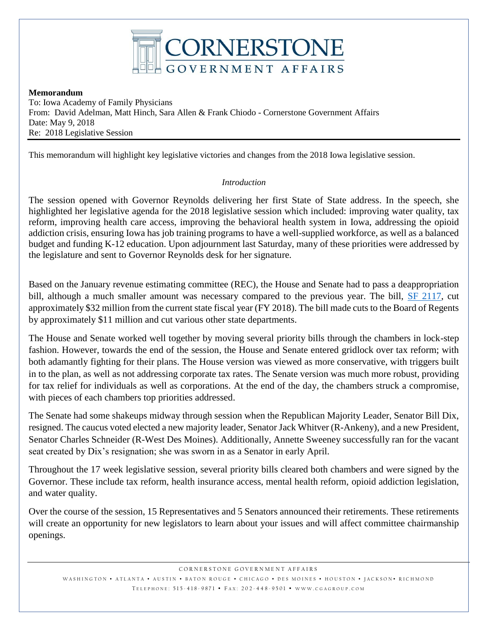

#### **Memorandum**

To: Iowa Academy of Family Physicians From: David Adelman, Matt Hinch, Sara Allen & Frank Chiodo - Cornerstone Government Affairs Date: May 9, 2018 Re: 2018 Legislative Session

This memorandum will highlight key legislative victories and changes from the 2018 Iowa legislative session.

## *Introduction*

The session opened with Governor Reynolds delivering her first State of State address. In the speech, she highlighted her legislative agenda for the 2018 legislative session which included: improving water quality, tax reform, improving health care access, improving the behavioral health system in Iowa, addressing the opioid addiction crisis, ensuring Iowa has job training programs to have a well-supplied workforce, as well as a balanced budget and funding K-12 education. Upon adjournment last Saturday, many of these priorities were addressed by the legislature and sent to Governor Reynolds desk for her signature.

Based on the January revenue estimating committee (REC), the House and Senate had to pass a deappropriation bill, although a much smaller amount was necessary compared to the previous year. The bill, [SF 2117,](https://www.legis.iowa.gov/legislation/BillBook?ga=87&ba=SF%202117) cut approximately \$32 million from the current state fiscal year (FY 2018). The bill made cuts to the Board of Regents by approximately \$11 million and cut various other state departments.

The House and Senate worked well together by moving several priority bills through the chambers in lock-step fashion. However, towards the end of the session, the House and Senate entered gridlock over tax reform; with both adamantly fighting for their plans. The House version was viewed as more conservative, with triggers built in to the plan, as well as not addressing corporate tax rates. The Senate version was much more robust, providing for tax relief for individuals as well as corporations. At the end of the day, the chambers struck a compromise, with pieces of each chambers top priorities addressed.

The Senate had some shakeups midway through session when the Republican Majority Leader, Senator Bill Dix, resigned. The caucus voted elected a new majority leader, Senator Jack Whitver (R-Ankeny), and a new President, Senator Charles Schneider (R-West Des Moines). Additionally, Annette Sweeney successfully ran for the vacant seat created by Dix's resignation; she was sworn in as a Senator in early April.

Throughout the 17 week legislative session, several priority bills cleared both chambers and were signed by the Governor. These include tax reform, health insurance access, mental health reform, opioid addiction legislation, and water quality.

Over the course of the session, 15 Representatives and 5 Senators announced their retirements. These retirements will create an opportunity for new legislators to learn about your issues and will affect committee chairmanship openings.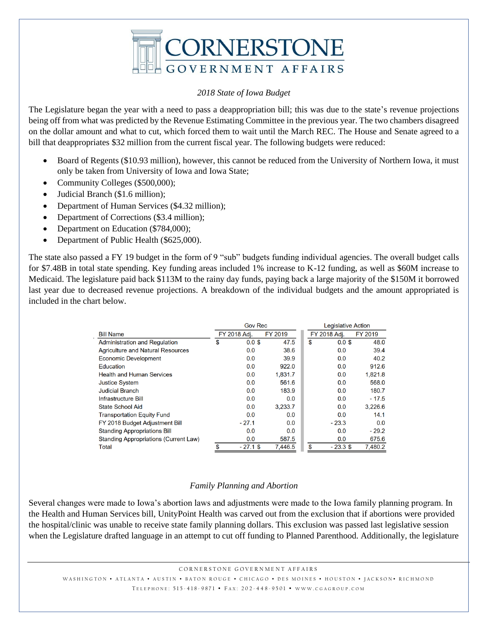

#### *2018 State of Iowa Budget*

The Legislature began the year with a need to pass a deappropriation bill; this was due to the state's revenue projections being off from what was predicted by the Revenue Estimating Committee in the previous year. The two chambers disagreed on the dollar amount and what to cut, which forced them to wait until the March REC. The House and Senate agreed to a bill that deappropriates \$32 million from the current fiscal year. The following budgets were reduced:

- Board of Regents (\$10.93 million), however, this cannot be reduced from the University of Northern Iowa, it must only be taken from University of Iowa and Iowa State;
- Community Colleges (\$500,000);
- Judicial Branch (\$1.6 million);
- Department of Human Services (\$4.32 million);
- Department of Corrections (\$3.4 million);
- Department on Education (\$784,000);
- Department of Public Health (\$625,000).

The state also passed a FY 19 budget in the form of 9 "sub" budgets funding individual agencies. The overall budget calls for \$7.48B in total state spending. Key funding areas included 1% increase to K-12 funding, as well as \$60M increase to Medicaid. The legislature paid back \$113M to the rainy day funds, paying back a large majority of the \$150M it borrowed last year due to decreased revenue projections. A breakdown of the individual budgets and the amount appropriated is included in the chart below.

|                                              | <b>Gov Rec</b> |              |         | <b>Legislative Action</b> |         |  |
|----------------------------------------------|----------------|--------------|---------|---------------------------|---------|--|
| <b>Bill Name</b>                             |                | FY 2018 Adj. | FY 2019 | FY 2018 Adi.              | FY 2019 |  |
| <b>Administration and Regulation</b>         | \$             | $0.0$ \$     | 47.5    | \$<br>$0.0$ \$            | 48.0    |  |
| <b>Agriculture and Natural Resources</b>     |                | 0.0          | 38.6    | 0.0                       | 39.4    |  |
| <b>Economic Development</b>                  |                | 0.0          | 39.9    | 0.0                       | 40.2    |  |
| Education                                    |                | 0.0          | 922.0   | 0.0                       | 912.6   |  |
| <b>Health and Human Services</b>             |                | 0.0          | 1,831.7 | 0.0                       | 1,821.8 |  |
| <b>Justice System</b>                        |                | 0.0          | 561.6   | 0.0                       | 568.0   |  |
| <b>Judicial Branch</b>                       |                | 0.0          | 183.9   | 0.0                       | 180.7   |  |
| Infrastructure Bill                          |                | 0.0          | 0.0     | 0.0                       | $-17.5$ |  |
| <b>State School Aid</b>                      |                | 0.0          | 3,233.7 | 0.0                       | 3,226.6 |  |
| <b>Transportation Equity Fund</b>            |                | 0.0          | 0.0     | 0.0                       | 14.1    |  |
| FY 2018 Budget Adjustment Bill               |                | $-27.1$      | 0.0     | $-23.3$                   | 0.0     |  |
| <b>Standing Appropriations Bill</b>          |                | 0.0          | 0.0     | 0.0                       | $-29.2$ |  |
| <b>Standing Appropriations (Current Law)</b> |                | 0.0          | 587.5   | 0.0                       | 675.6   |  |
| <b>Total</b>                                 | \$             | $-27.1$ \$   | 7.446.5 | \$<br>$-23.3$ \$          | 7.480.2 |  |

#### *Family Planning and Abortion*

Several changes were made to Iowa's abortion laws and adjustments were made to the Iowa family planning program. In the Health and Human Services bill, UnityPoint Health was carved out from the exclusion that if abortions were provided the hospital/clinic was unable to receive state family planning dollars. This exclusion was passed last legislative session when the Legislature drafted language in an attempt to cut off funding to Planned Parenthood. Additionally, the legislature

CORNERSTONE GOVERNMENT AFFAIRS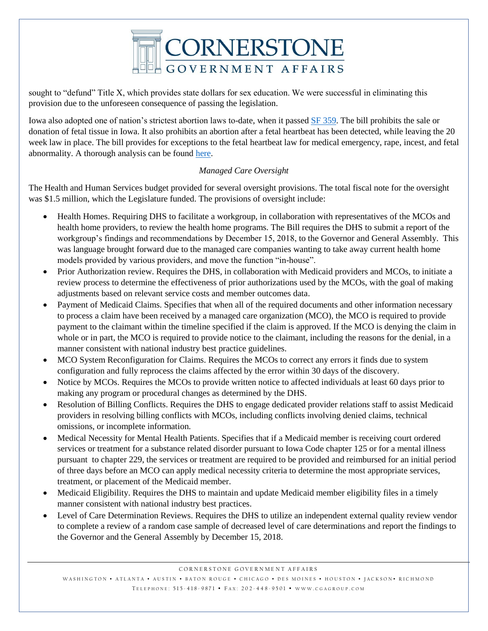

sought to "defund" Title X, which provides state dollars for sex education. We were successful in eliminating this provision due to the unforeseen consequence of passing the legislation.

Iowa also adopted one of nation's strictest abortion laws to-date, when it passed [SF 359.](https://www.legis.iowa.gov/legislation/BillBook?ga=87&ba=sf359) The bill prohibits the sale or donation of fetal tissue in Iowa. It also prohibits an abortion after a fetal heartbeat has been detected, while leaving the 20 week law in place. The bill provides for exceptions to the fetal heartbeat law for medical emergency, rape, incest, and fetal abnormality. A thorough analysis can be found [here.](http://www.iowahouserepublicans.com/wp-content/uploads/website-SF-359-Fetal-Body-Parts-and-Fetal-Heartbeat.pdf)

## *Managed Care Oversight*

The Health and Human Services budget provided for several oversight provisions. The total fiscal note for the oversight was \$1.5 million, which the Legislature funded. The provisions of oversight include:

- Health Homes. Requiring DHS to facilitate a workgroup, in collaboration with representatives of the MCOs and health home providers, to review the health home programs. The Bill requires the DHS to submit a report of the workgroup's findings and recommendations by December 15, 2018, to the Governor and General Assembly. This was language brought forward due to the managed care companies wanting to take away current health home models provided by various providers, and move the function "in-house".
- Prior Authorization review. Requires the DHS, in collaboration with Medicaid providers and MCOs, to initiate a review process to determine the effectiveness of prior authorizations used by the MCOs, with the goal of making adjustments based on relevant service costs and member outcomes data.
- Payment of Medicaid Claims. Specifies that when all of the required documents and other information necessary to process a claim have been received by a managed care organization (MCO), the MCO is required to provide payment to the claimant within the timeline specified if the claim is approved. If the MCO is denying the claim in whole or in part, the MCO is required to provide notice to the claimant, including the reasons for the denial, in a manner consistent with national industry best practice guidelines.
- MCO System Reconfiguration for Claims. Requires the MCOs to correct any errors it finds due to system configuration and fully reprocess the claims affected by the error within 30 days of the discovery.
- Notice by MCOs. Requires the MCOs to provide written notice to affected individuals at least 60 days prior to making any program or procedural changes as determined by the DHS.
- Resolution of Billing Conflicts. Requires the DHS to engage dedicated provider relations staff to assist Medicaid providers in resolving billing conflicts with MCOs, including conflicts involving denied claims, technical omissions, or incomplete information.
- Medical Necessity for Mental Health Patients. Specifies that if a Medicaid member is receiving court ordered services or treatment for a substance related disorder pursuant to Iowa Code chapter 125 or for a mental illness pursuant to chapter 229, the services or treatment are required to be provided and reimbursed for an initial period of three days before an MCO can apply medical necessity criteria to determine the most appropriate services, treatment, or placement of the Medicaid member.
- Medicaid Eligibility. Requires the DHS to maintain and update Medicaid member eligibility files in a timely manner consistent with national industry best practices.
- Level of Care Determination Reviews. Requires the DHS to utilize an independent external quality review vendor to complete a review of a random case sample of decreased level of care determinations and report the findings to the Governor and the General Assembly by December 15, 2018.

CORNERSTONE GOVERNMENT AFFAIRS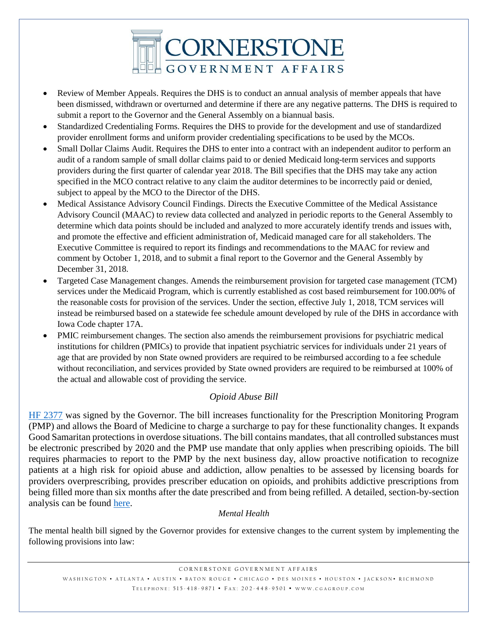

- Review of Member Appeals. Requires the DHS is to conduct an annual analysis of member appeals that have been dismissed, withdrawn or overturned and determine if there are any negative patterns. The DHS is required to submit a report to the Governor and the General Assembly on a biannual basis.
- Standardized Credentialing Forms. Requires the DHS to provide for the development and use of standardized provider enrollment forms and uniform provider credentialing specifications to be used by the MCOs.
- Small Dollar Claims Audit. Requires the DHS to enter into a contract with an independent auditor to perform an audit of a random sample of small dollar claims paid to or denied Medicaid long-term services and supports providers during the first quarter of calendar year 2018. The Bill specifies that the DHS may take any action specified in the MCO contract relative to any claim the auditor determines to be incorrectly paid or denied, subject to appeal by the MCO to the Director of the DHS.
- Medical Assistance Advisory Council Findings. Directs the Executive Committee of the Medical Assistance Advisory Council (MAAC) to review data collected and analyzed in periodic reports to the General Assembly to determine which data points should be included and analyzed to more accurately identify trends and issues with, and promote the effective and efficient administration of, Medicaid managed care for all stakeholders. The Executive Committee is required to report its findings and recommendations to the MAAC for review and comment by October 1, 2018, and to submit a final report to the Governor and the General Assembly by December 31, 2018.
- Targeted Case Management changes. Amends the reimbursement provision for targeted case management (TCM) services under the Medicaid Program, which is currently established as cost based reimbursement for 100.00% of the reasonable costs for provision of the services. Under the section, effective July 1, 2018, TCM services will instead be reimbursed based on a statewide fee schedule amount developed by rule of the DHS in accordance with Iowa Code chapter 17A.
- PMIC reimbursement changes. The section also amends the reimbursement provisions for psychiatric medical institutions for children (PMICs) to provide that inpatient psychiatric services for individuals under 21 years of age that are provided by non State owned providers are required to be reimbursed according to a fee schedule without reconciliation, and services provided by State owned providers are required to be reimbursed at 100% of the actual and allowable cost of providing the service.

## *Opioid Abuse Bill*

[HF 2377](https://www.legis.iowa.gov/legislation/BillBook?ba=HF2377&ga=87) was signed by the Governor. The bill increases functionality for the Prescription Monitoring Program (PMP) and allows the Board of Medicine to charge a surcharge to pay for these functionality changes. It expands Good Samaritan protections in overdose situations. The bill contains mandates, that all controlled substances must be electronic prescribed by 2020 and the PMP use mandate that only applies when prescribing opioids. The bill requires pharmacies to report to the PMP by the next business day, allow proactive notification to recognize patients at a high risk for opioid abuse and addiction, allow penalties to be assessed by licensing boards for providers overprescribing, provides prescriber education on opioids, and prohibits addictive prescriptions from being filled more than six months after the date prescribed and from being refilled. A detailed, section-by-section analysis can be found [here.](http://www.iowahouserepublicans.com/wp-content/uploads/HF-2377-Opioid-bill.pdf)

## *Mental Health*

The mental health bill signed by the Governor provides for extensive changes to the current system by implementing the following provisions into law: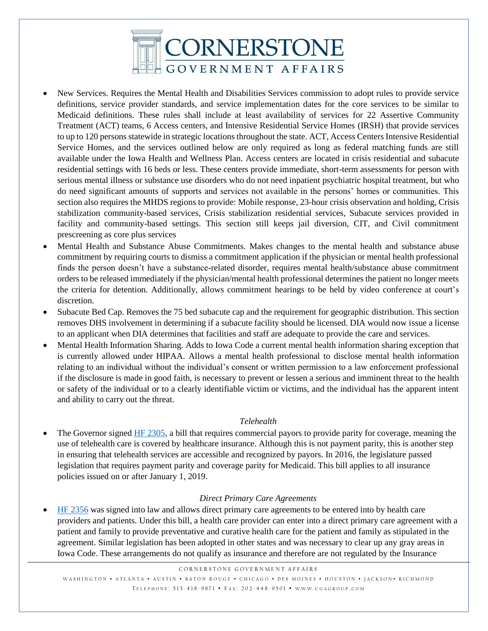

- New Services. Requires the Mental Health and Disabilities Services commission to adopt rules to provide service definitions, service provider standards, and service implementation dates for the core services to be similar to Medicaid definitions. These rules shall include at least availability of services for 22 Assertive Community Treatment (ACT) teams, 6 Access centers, and Intensive Residential Service Homes (IRSH) that provide services to up to 120 persons statewide in strategic locations throughout the state. ACT, Access Centers Intensive Residential Service Homes, and the services outlined below are only required as long as federal matching funds are still available under the Iowa Health and Wellness Plan. Access centers are located in crisis residential and subacute residential settings with 16 beds or less. These centers provide immediate, short-term assessments for person with serious mental illness or substance use disorders who do not need inpatient psychiatric hospital treatment, but who do need significant amounts of supports and services not available in the persons' homes or communities. This section also requires the MHDS regions to provide: Mobile response, 23-hour crisis observation and holding, Crisis stabilization community-based services, Crisis stabilization residential services, Subacute services provided in facility and community-based settings. This section still keeps jail diversion, CIT, and Civil commitment prescreening as core plus services
- Mental Health and Substance Abuse Commitments. Makes changes to the mental health and substance abuse commitment by requiring courts to dismiss a commitment application if the physician or mental health professional finds the person doesn't have a substance-related disorder, requires mental health/substance abuse commitment orders to be released immediately if the physician/mental health professional determines the patient no longer meets the criteria for detention. Additionally, allows commitment hearings to be held by video conference at court's discretion.
- Subacute Bed Cap. Removes the 75 bed subacute cap and the requirement for geographic distribution. This section removes DHS involvement in determining if a subacute facility should be licensed. DIA would now issue a license to an applicant when DIA determines that facilities and staff are adequate to provide the care and services.
- Mental Health Information Sharing. Adds to Iowa Code a current mental health information sharing exception that is currently allowed under HIPAA. Allows a mental health professional to disclose mental health information relating to an individual without the individual's consent or written permission to a law enforcement professional if the disclosure is made in good faith, is necessary to prevent or lessen a serious and imminent threat to the health or safety of the individual or to a clearly identifiable victim or victims, and the individual has the apparent intent and ability to carry out the threat.

#### *Telehealth*

The Governor signed [HF 2305,](https://www.legis.iowa.gov/legislation/BillBook?ga=87&ba=hf2305) a bill that requires commercial payors to provide parity for coverage, meaning the use of telehealth care is covered by healthcare insurance. Although this is not payment parity, this is another step in ensuring that telehealth services are accessible and recognized by payors. In 2016, the legislature passed legislation that requires payment parity and coverage parity for Medicaid. This bill applies to all insurance policies issued on or after January 1, 2019.

#### *Direct Primary Care Agreements*

 [HF 2356](https://www.legis.iowa.gov/legislation/BillBook?ga=87&ba=hf2356) was signed into law and allows direct primary care agreements to be entered into by health care providers and patients. Under this bill, a health care provider can enter into a direct primary care agreement with a patient and family to provide preventative and curative health care for the patient and family as stipulated in the agreement. Similar legislation has been adopted in other states and was necessary to clear up any gray areas in Iowa Code. These arrangements do not qualify as insurance and therefore are not regulated by the Insurance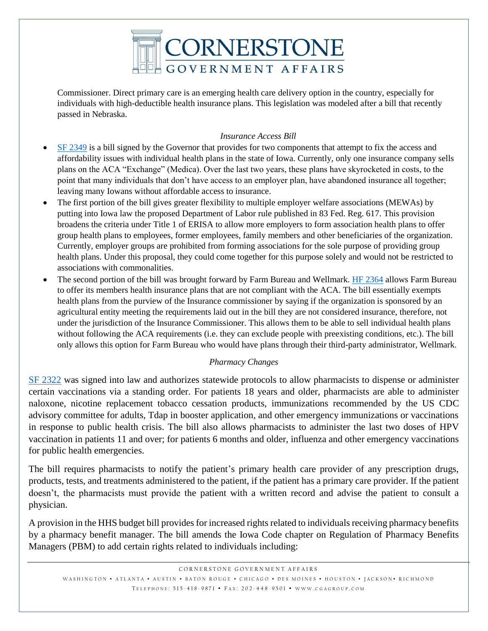

Commissioner. Direct primary care is an emerging health care delivery option in the country, especially for individuals with high-deductible health insurance plans. This legislation was modeled after a bill that recently passed in Nebraska.

#### *Insurance Access Bill*

- [SF 2349](https://www.legis.iowa.gov/legislation/BillBook?ga=87&ba=sf2349) is a bill signed by the Governor that provides for two components that attempt to fix the access and affordability issues with individual health plans in the state of Iowa. Currently, only one insurance company sells plans on the ACA "Exchange" (Medica). Over the last two years, these plans have skyrocketed in costs, to the point that many individuals that don't have access to an employer plan, have abandoned insurance all together; leaving many Iowans without affordable access to insurance.
- The first portion of the bill gives greater flexibility to multiple employer welfare associations (MEWAs) by putting into Iowa law the proposed Department of Labor rule published in 83 Fed. Reg. 617. This provision broadens the criteria under Title 1 of ERISA to allow more employers to form association health plans to offer group health plans to employees, former employees, family members and other beneficiaries of the organization. Currently, employer groups are prohibited from forming associations for the sole purpose of providing group health plans. Under this proposal, they could come together for this purpose solely and would not be restricted to associations with commonalities.
- The second portion of the bill was brought forward by Farm Bureau and Wellmark. [HF 2364](https://www.legis.iowa.gov/legislation/BillBook?ga=87&ba=hf2364) allows Farm Bureau to offer its members health insurance plans that are not compliant with the ACA. The bill essentially exempts health plans from the purview of the Insurance commissioner by saying if the organization is sponsored by an agricultural entity meeting the requirements laid out in the bill they are not considered insurance, therefore, not under the jurisdiction of the Insurance Commissioner. This allows them to be able to sell individual health plans without following the ACA requirements (i.e. they can exclude people with preexisting conditions, etc.). The bill only allows this option for Farm Bureau who would have plans through their third-party administrator, Wellmark.

## *Pharmacy Changes*

[SF 2322](https://www.legis.iowa.gov/legislation/BillBook?ba=SF%202322&ga=87) was signed into law and authorizes statewide protocols to allow pharmacists to dispense or administer certain vaccinations via a standing order. For patients 18 years and older, pharmacists are able to administer naloxone, nicotine replacement tobacco cessation products, immunizations recommended by the US CDC advisory committee for adults, Tdap in booster application, and other emergency immunizations or vaccinations in response to public health crisis. The bill also allows pharmacists to administer the last two doses of HPV vaccination in patients 11 and over; for patients 6 months and older, influenza and other emergency vaccinations for public health emergencies.

The bill requires pharmacists to notify the patient's primary health care provider of any prescription drugs, products, tests, and treatments administered to the patient, if the patient has a primary care provider. If the patient doesn't, the pharmacists must provide the patient with a written record and advise the patient to consult a physician.

A provision in the HHS budget bill provides for increased rights related to individuals receiving pharmacy benefits by a pharmacy benefit manager. The bill amends the Iowa Code chapter on Regulation of Pharmacy Benefits Managers (PBM) to add certain rights related to individuals including: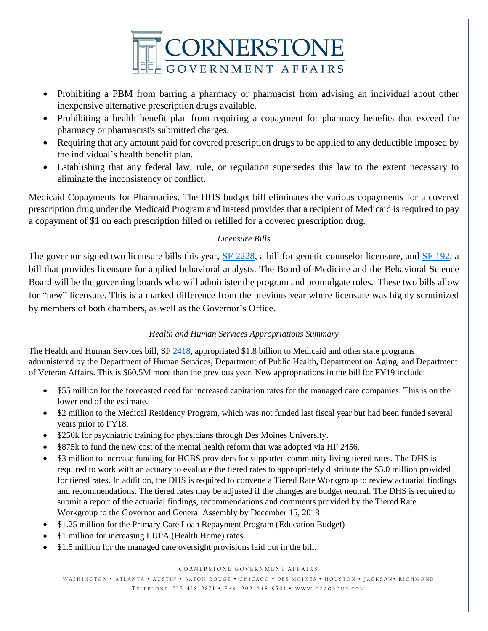

- Prohibiting a PBM from barring a pharmacy or pharmacist from advising an individual about other inexpensive alternative prescription drugs available.
- Prohibiting a health benefit plan from requiring a copayment for pharmacy benefits that exceed the pharmacy or pharmacist's submitted charges.
- Requiring that any amount paid for covered prescription drugs to be applied to any deductible imposed by the individual's health benefit plan.
- Establishing that any federal law, rule, or regulation supersedes this law to the extent necessary to eliminate the inconsistency or conflict.

Medicaid Copayments for Pharmacies. The HHS budget bill eliminates the various copayments for a covered prescription drug under the Medicaid Program and instead provides that a recipient of Medicaid is required to pay a copayment of \$1 on each prescription filled or refilled for a covered prescription drug.

# *Licensure Bills*

The governor signed two licensure bills this year, [SF 2228,](https://www.legis.iowa.gov/legislation/BillBook?ba=SF2228&ga=87) a bill for genetic counselor licensure, and [SF 192,](https://www.legis.iowa.gov/legislation/BillBook?ga=87&ba=sf192) a bill that provides licensure for applied behavioral analysts. The Board of Medicine and the Behavioral Science Board will be the governing boards who will administer the program and promulgate rules. These two bills allow for "new" licensure. This is a marked difference from the previous year where licensure was highly scrutinized by members of both chambers, as well as the Governor's Office.

# *Health and Human Services Appropriations Summary*

The Health and Human Services bill, SF [2418,](https://www.legis.iowa.gov/legislation/BillBook?ba=SF2418&ga=87) appropriated \$1.8 billion to Medicaid and other state programs administered by the Department of Human Services, Department of Public Health, Department on Aging, and Department of Veteran Affairs. This is \$60.5M more than the previous year. New appropriations in the bill for FY19 include:

- \$55 million for the forecasted need for increased capitation rates for the managed care companies. This is on the lower end of the estimate.
- \$2 million to the Medical Residency Program, which was not funded last fiscal year but had been funded several years prior to FY18.
- \$250k for psychiatric training for physicians through Des Moines University.
- \$875k to fund the new cost of the mental health reform that was adopted via HF 2456.
- \$3 million to increase funding for HCBS providers for supported community living tiered rates. The DHS is required to work with an actuary to evaluate the tiered rates to appropriately distribute the \$3.0 million provided for tiered rates. In addition, the DHS is required to convene a Tiered Rate Workgroup to review actuarial findings and recommendations. The tiered rates may be adjusted if the changes are budget neutral. The DHS is required to submit a report of the actuarial findings, recommendations and comments provided by the Tiered Rate Workgroup to the Governor and General Assembly by December 15, 2018
- \$1.25 million for the Primary Care Loan Repayment Program (Education Budget)
- \$1 million for increasing LUPA (Health Home) rates.
- \$1.5 million for the managed care oversight provisions laid out in the bill.

#### CORNERSTONE GOVERNMENT AFFAIRS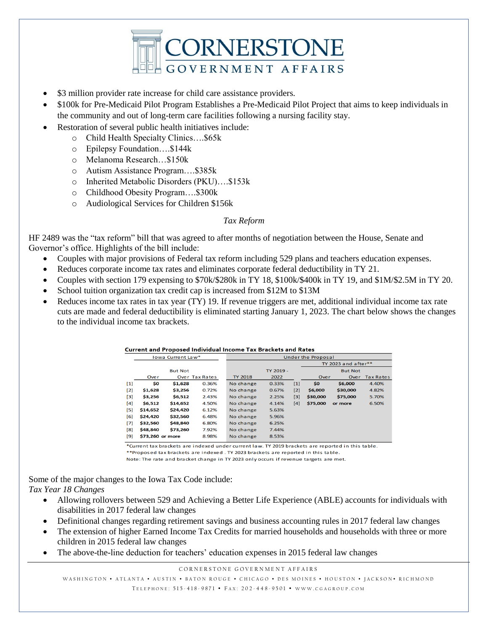

- \$3 million provider rate increase for child care assistance providers.
- \$100k for Pre-Medicaid Pilot Program Establishes a Pre-Medicaid Pilot Project that aims to keep individuals in the community and out of long-term care facilities following a nursing facility stay.
- Restoration of several public health initiatives include:
	- o Child Health Specialty Clinics….\$65k
	- o Epilepsy Foundation….\$144k
	- o Melanoma Research…\$150k
	- o Autism Assistance Program….\$385k
	- o Inherited Metabolic Disorders (PKU)….\$153k
	- o Childhood Obesity Program….\$300k
	- o Audiological Services for Children \$156k

#### *Tax Reform*

HF 2489 was the "tax reform" bill that was agreed to after months of negotiation between the House, Senate and Governor's office. Highlights of the bill include:

- Couples with major provisions of Federal tax reform including 529 plans and teachers education expenses.
- Reduces corporate income tax rates and eliminates corporate federal deductibility in TY 21.

Current and Proposed Individual Income Tay Brackets and Pates

- Couples with section 179 expensing to \$70k/\$280k in TY 18, \$100k/\$400k in TY 19, and \$1M/\$2.5M in TY 20.
- School tuition organization tax credit cap is increased from \$12M to \$13M
- Reduces income tax rates in tax year (TY) 19. If revenue triggers are met, additional individual income tax rate cuts are made and federal deductibility is eliminated starting January 1, 2023. The chart below shows the changes to the individual income tax brackets.

|                                                                                                                                                                                                                                                                                                                                                                                                                                                                                                                                                                                                                                                                                                                                                                                                                                                                                                                                                                                  | Current and Froposed mulviqual income Tax brackets and Kates |          |                       |                           |                |       |          |                     |                  |  |
|----------------------------------------------------------------------------------------------------------------------------------------------------------------------------------------------------------------------------------------------------------------------------------------------------------------------------------------------------------------------------------------------------------------------------------------------------------------------------------------------------------------------------------------------------------------------------------------------------------------------------------------------------------------------------------------------------------------------------------------------------------------------------------------------------------------------------------------------------------------------------------------------------------------------------------------------------------------------------------|--------------------------------------------------------------|----------|-----------------------|---------------------------|----------------|-------|----------|---------------------|------------------|--|
|                                                                                                                                                                                                                                                                                                                                                                                                                                                                                                                                                                                                                                                                                                                                                                                                                                                                                                                                                                                  | lowa Current Law*                                            |          |                       | <b>Under the Proposal</b> |                |       |          |                     |                  |  |
|                                                                                                                                                                                                                                                                                                                                                                                                                                                                                                                                                                                                                                                                                                                                                                                                                                                                                                                                                                                  |                                                              |          |                       |                           |                |       |          | TY 2023 and after** |                  |  |
|                                                                                                                                                                                                                                                                                                                                                                                                                                                                                                                                                                                                                                                                                                                                                                                                                                                                                                                                                                                  | <b>But Not</b>                                               |          | TY 2019 -             |                           | <b>But Not</b> |       |          |                     |                  |  |
|                                                                                                                                                                                                                                                                                                                                                                                                                                                                                                                                                                                                                                                                                                                                                                                                                                                                                                                                                                                  | Over                                                         |          | <b>Over Tax Rates</b> | <b>TY 2018</b>            | 2022           |       | Over     | Over                | <b>Tax Rates</b> |  |
| $[1] % \includegraphics[width=0.9\columnwidth]{figures/fig_10.pdf} \caption{The graph $\mathcal{N}_1$ is a function of the number of times, and the number of times, and the number of times, are indicated with the number of times, and the number of times, are indicated with the number of times, and the number of times, are indicated with the number of times, and the number of times, are indicated with the number of times, and the number of times, are indicated with the number of times, and the number of times, are indicated with the number of times, and the number of times, are indicated with the number of times, and the number of times, are indicated with the number of times, and the number of times, are indicated with the number of times, and the number of times, are indicated with the number of times, and the number of times, are indicated with the number of times, and the number of times, are indicated with the number of times$ | \$0                                                          | \$1,628  | 0.36%                 | No change                 | 0.33%          | $[1]$ | \$0      | \$6.000             | 4.40%            |  |
| $[2]$                                                                                                                                                                                                                                                                                                                                                                                                                                                                                                                                                                                                                                                                                                                                                                                                                                                                                                                                                                            | \$1,628                                                      | \$3,256  | 0.72%                 | No change                 | 0.67%          | $[2]$ | \$6,000  | \$30,000            | 4.82%            |  |
| [3]                                                                                                                                                                                                                                                                                                                                                                                                                                                                                                                                                                                                                                                                                                                                                                                                                                                                                                                                                                              | \$3,256                                                      | \$6,512  | 2.43%                 | No change                 | 2.25%          | [3]   | \$30,000 | \$75,000            | 5.70%            |  |
| [4]                                                                                                                                                                                                                                                                                                                                                                                                                                                                                                                                                                                                                                                                                                                                                                                                                                                                                                                                                                              | \$6,512                                                      | \$14.652 | 4.50%                 | No change                 | 4.14%          | [4]   | \$75,000 | or more             | 6.50%            |  |
| [5]                                                                                                                                                                                                                                                                                                                                                                                                                                                                                                                                                                                                                                                                                                                                                                                                                                                                                                                                                                              | \$14,652                                                     | \$24,420 | 6.12%                 | No change                 | 5.63%          |       |          |                     |                  |  |
| [6]                                                                                                                                                                                                                                                                                                                                                                                                                                                                                                                                                                                                                                                                                                                                                                                                                                                                                                                                                                              | \$24,420                                                     | \$32,560 | 6.48%                 | No change                 | 5.96%          |       |          |                     |                  |  |
| $[7]$                                                                                                                                                                                                                                                                                                                                                                                                                                                                                                                                                                                                                                                                                                                                                                                                                                                                                                                                                                            | \$32,560                                                     | \$48,840 | 6.80%                 | No change                 | 6.25%          |       |          |                     |                  |  |
| $^{[8]}$                                                                                                                                                                                                                                                                                                                                                                                                                                                                                                                                                                                                                                                                                                                                                                                                                                                                                                                                                                         | \$48,840                                                     | \$73,260 | 7.92%                 | No change                 | 7.44%          |       |          |                     |                  |  |
| [9]                                                                                                                                                                                                                                                                                                                                                                                                                                                                                                                                                                                                                                                                                                                                                                                                                                                                                                                                                                              | \$73,260 or more                                             |          | 8.98%                 | No change                 | 8.53%          |       |          |                     |                  |  |

\*Current tax brackets are indexed under current law. TY 2019 brackets are reported in this table. \*\* Proposed tax brackets are indexed. TY 2023 brackets are reported in this table.

Note: The rate and bracket change in TY 2023 only occurs if revenue targets are met.

Some of the major changes to the Iowa Tax Code include: *Tax Year 18 Changes*

- Allowing rollovers between 529 and Achieving a Better Life Experience (ABLE) accounts for individuals with disabilities in 2017 federal law changes
- Definitional changes regarding retirement savings and business accounting rules in 2017 federal law changes
- The extension of higher Earned Income Tax Credits for married households and households with three or more children in 2015 federal law changes
- The above-the-line deduction for teachers' education expenses in 2015 federal law changes

CORNERSTONE GOVERNMENT AFFAIRS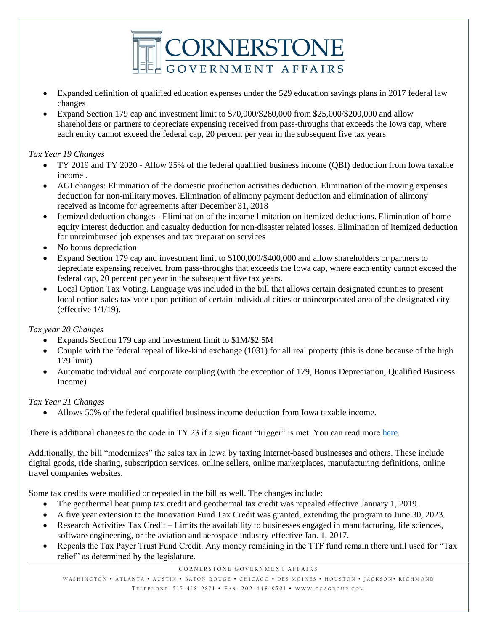

- Expanded definition of qualified education expenses under the 529 education savings plans in 2017 federal law changes
- Expand Section 179 cap and investment limit to \$70,000/\$280,000 from \$25,000/\$200,000 and allow shareholders or partners to depreciate expensing received from pass-throughs that exceeds the Iowa cap, where each entity cannot exceed the federal cap, 20 percent per year in the subsequent five tax years

## *Tax Year 19 Changes*

- TY 2019 and TY 2020 Allow 25% of the federal qualified business income (QBI) deduction from Iowa taxable income .
- AGI changes: Elimination of the domestic production activities deduction. Elimination of the moving expenses deduction for non-military moves. Elimination of alimony payment deduction and elimination of alimony received as income for agreements after December 31, 2018
- Itemized deduction changes Elimination of the income limitation on itemized deductions. Elimination of home equity interest deduction and casualty deduction for non-disaster related losses. Elimination of itemized deduction for unreimbursed job expenses and tax preparation services
- No bonus depreciation
- Expand Section 179 cap and investment limit to \$100,000/\$400,000 and allow shareholders or partners to depreciate expensing received from pass-throughs that exceeds the Iowa cap, where each entity cannot exceed the federal cap, 20 percent per year in the subsequent five tax years.
- Local Option Tax Voting. Language was included in the bill that allows certain designated counties to present local option sales tax vote upon petition of certain individual cities or unincorporated area of the designated city (effective 1/1/19).

## *Tax year 20 Changes*

- Expands Section 179 cap and investment limit to \$1M/\$2.5M
- Couple with the federal repeal of like-kind exchange (1031) for all real property (this is done because of the high 179 limit)
- Automatic individual and corporate coupling (with the exception of 179, Bonus Depreciation, Qualified Business Income)

## *Tax Year 21 Changes*

Allows 50% of the federal qualified business income deduction from Iowa taxable income.

There is additional changes to the code in TY 23 if a significant "trigger" is met. You can read more [here.](http://www.iowahouserepublicans.com/wp-content/uploads/HF-2489-Tax-Reform.pdf)

Additionally, the bill "modernizes" the sales tax in Iowa by taxing internet-based businesses and others. These include digital goods, ride sharing, subscription services, online sellers, online marketplaces, manufacturing definitions, online travel companies websites.

Some tax credits were modified or repealed in the bill as well. The changes include:

- The geothermal heat pump tax credit and geothermal tax credit was repealed effective January 1, 2019.
- A five year extension to the Innovation Fund Tax Credit was granted, extending the program to June 30, 2023.
- Research Activities Tax Credit Limits the availability to businesses engaged in manufacturing, life sciences, software engineering, or the aviation and aerospace industry-effective Jan. 1, 2017.
- Repeals the Tax Payer Trust Fund Credit. Any money remaining in the TTF fund remain there until used for "Tax relief" as determined by the legislature.

CORNERSTONE GOVERNMENT AFFAIRS